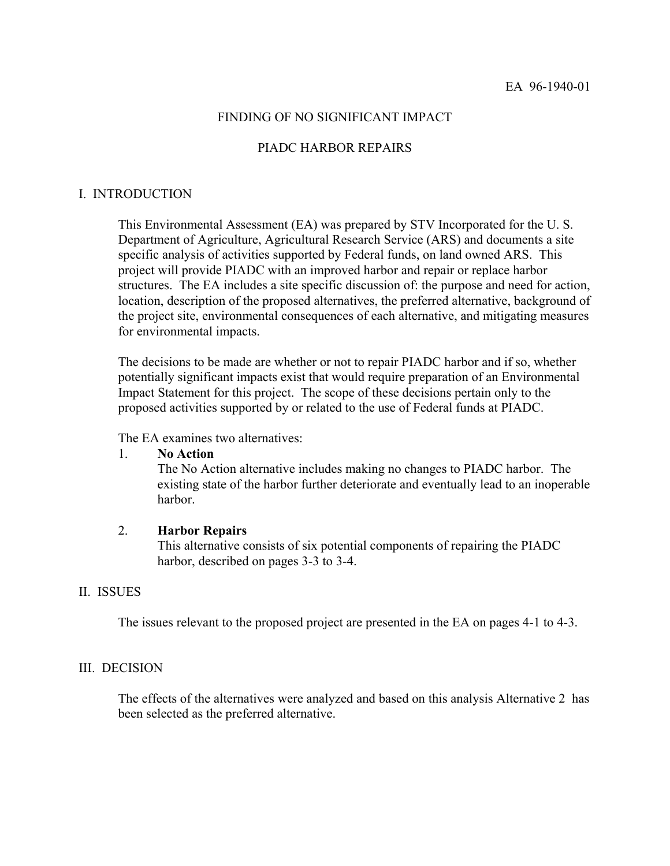# FINDING OF NO SIGNIFICANT IMPACT

#### PIADC HARBOR REPAIRS

#### I. INTRODUCTION

This Environmental Assessment (EA) was prepared by STV Incorporated for the U. S. Department of Agriculture, Agricultural Research Service (ARS) and documents a site specific analysis of activities supported by Federal funds, on land owned ARS. This project will provide PIADC with an improved harbor and repair or replace harbor structures. The EA includes a site specific discussion of: the purpose and need for action, location, description of the proposed alternatives, the preferred alternative, background of the project site, environmental consequences of each alternative, and mitigating measures for environmental impacts.

The decisions to be made are whether or not to repair PIADC harbor and if so, whether potentially significant impacts exist that would require preparation of an Environmental Impact Statement for this project. The scope of these decisions pertain only to the proposed activities supported by or related to the use of Federal funds at PIADC.

The EA examines two alternatives:

### 1. **No Action**

The No Action alternative includes making no changes to PIADC harbor. The existing state of the harbor further deteriorate and eventually lead to an inoperable harbor.

#### 2. **Harbor Repairs**

This alternative consists of six potential components of repairing the PIADC harbor, described on pages 3-3 to 3-4.

#### II. ISSUES

The issues relevant to the proposed project are presented in the EA on pages 4-1 to 4-3.

### III. DECISION

The effects of the alternatives were analyzed and based on this analysis Alternative 2 has been selected as the preferred alternative.